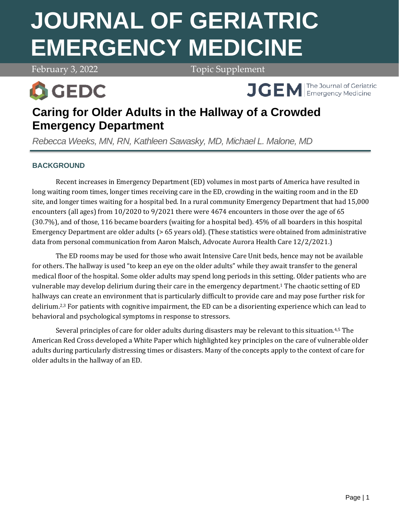# **JOURNAL OF GERIATRIC EMERGENCY MEDICINE**

February 3, 2022 **Topic Supplement** 



**APRIL 7, 2021 Volume 2, 2021 Volume 2, 2021 Volume 2, 2021 Volume 2, 2021 Volume 2, 2021 Volume 2, 2021 Volume 2, 2021 Volume 2, 2021 Volume 2, 2021 Volume 2, 2021 Volume 2, 2021 Volume 2, 2021 Volume 2, 2021 Volume 2, 20** 

# **Caring for Older Adults in the Hallway of a Crowded Emergency Department**

*Rebecca Weeks, MN, RN, Kathleen Sawasky, MD, Michael L. Malone, MD*

# **BACKGROUND**

Recent increases in Emergency Department (ED) volumes in most parts of America have resulted in long waiting room times, longer times receiving care in the ED, crowding in the waiting room and in the ED site, and longer times waiting for a hospital bed. In a rural community Emergency Department that had 15,000 encounters (all ages) from 10/2020 to 9/2021 there were 4674 encounters in those over the age of 65 (30.7%), and of those, 116 became boarders (waiting for a hospital bed). 45% of all boarders in this hospital Emergency Department are older adults (> 65 years old). (These statistics were obtained from administrative data from personal communication from Aaron Malsch, Advocate Aurora Health Care 12/2/2021.)

The ED rooms may be used for those who await Intensive Care Unit beds, hence may not be available for others. The hallway is used "to keep an eye on the older adults" while they await transfer to the general medical floor of the hospital. Some older adults may spend long periods in this setting. Older patients who are vulnerable may develop delirium during their care in the emergency department.<sup>1</sup> The chaotic setting of ED hallways can create an environment that is particularly difficult to provide care and may pose further risk for delirium.2,3 For patients with cognitive impairment, the ED can be a disorienting experience which can lead to behavioral and psychological symptoms in response to stressors.

Several principles of care for older adults during disasters may be relevant to this situation.<sup>4,5</sup> The American Red Cross developed a White Paper which highlighted key principles on the care of vulnerable older adults during particularly distressing times or disasters. Many of the concepts apply to the context of care for older adults in the hallway of an ED.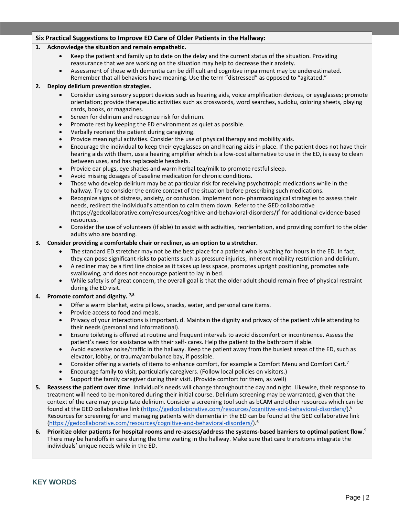#### **Six Practical Suggestions to Improve ED Care of Older Patients in the Hallway:**

#### **1. Acknowledge the situation and remain empathetic.**

- Keep the patient and family up to date on the delay and the current status of the situation. Providing reassurance that we are working on the situation may help to decrease their anxiety.
- Assessment of those with dementia can be difficult and cognitive impairment may be underestimated. Remember that all behaviors have meaning. Use the term "distressed" as opposed to "agitated."

#### **2. Deploy delirium prevention strategies.**

- Consider using sensory support devices such as hearing aids, voice amplification devices, or eyeglasses; promote orientation; provide therapeutic activities such as crosswords, word searches, sudoku, coloring sheets, playing cards, books, or magazines.
- Screen for delirium and recognize risk for delirium.
- Promote rest by keeping the ED environment as quiet as possible.
- Verbally reorient the patient during caregiving.
- Provide meaningful activities. Consider the use of physical therapy and mobility aids.
- Encourage the individual to keep their eyeglasses on and hearing aids in place. If the patient does not have their hearing aids with them, use a hearing amplifier which is a low-cost alternative to use in the ED, is easy to clean between uses, and has replaceable headsets.
- Provide ear plugs, eye shades and warm herbal tea/milk to promote restful sleep.
- Avoid missing dosages of baseline medication for chronic conditions.
- Those who develop delirium may be at particular risk for receiving psychotropic medications while in the hallway. Try to consider the entire context of the situation before prescribing such medications.
- Recognize signs of distress, anxiety, or confusion. Implement non- pharmacological strategies to assess their needs, redirect the individual's attention to calm them down. Refer to the GED collaborative (https://gedcollaborative.com/resources/cognitive-and-behavioral-disorders/)<sup>6</sup> for additional evidence-based resources.
- Consider the use of volunteers (if able) to assist with activities, reorientation, and providing comfort to the older adults who are boarding.

#### **3. Consider providing a comfortable chair or recliner, as an option to a stretcher.**

- The standard ED stretcher may not be the best place for a patient who is waiting for hours in the ED. In fact, they can pose significant risks to patients such as pressure injuries, inherent mobility restriction and delirium.
- A recliner may be a first line choice as it takes up less space, promotes upright positioning, promotes safe swallowing, and does not encourage patient to lay in bed.
- While safety is of great concern, the overall goal is that the older adult should remain free of physical restraint during the ED visit.

#### **4. Promote comfort and dignity. 7,8**

- Offer a warm blanket, extra pillows, snacks, water, and personal care items.
- Provide access to food and meals.
- Privacy of your interactions is important. d. Maintain the dignity and privacy of the patient while attending to their needs (personal and informational).
- Ensure toileting is offered at routine and frequent intervals to avoid discomfort or incontinence. Assess the patient's need for assistance with their self- cares. Help the patient to the bathroom if able.
- Avoid excessive noise/traffic in the hallway. Keep the patient away from the busiest areas of the ED, such as elevator, lobby, or trauma/ambulance bay, if possible.
- Consider offering a variety of items to enhance comfort, for example a Comfort Menu and Comfort Cart.<sup>7</sup>
- Encourage family to visit, particularly caregivers. (Follow local policies on visitors.)
- Support the family caregiver during their visit. (Provide comfort for them, as well)
- **5. Reassess the patient over time**. Individual's needs will change throughout the day and night. Likewise, their response to treatment will need to be monitored during their initial course. Delirium screening may be warranted, given that the context of the care may precipitate delirium. Consider a screening tool such as bCAM and other resources which can be found at the GED collaborative link [\(https://gedcollaborative.com/resources/cognitive-and-behavioral-disorders/\)](https://gedcollaborative.com/resources/cognitive-and-behavioral-disorders/).<sup>6</sup> Resources for screening for and managing patients with dementia in the ED can be found at the GED collaborative link [\(https://gedcollaborative.com/resources/cognitive-and-behavioral-disorders/\)](https://gedcollaborative.com/resources/cognitive-and-behavioral-disorders/). 6
- **6. Prioritize older patients for hospital rooms and re-assess/address the systems-based barriers to optimal patient flow**. 9 There may be handoffs in care during the time waiting in the hallway. Make sure that care transitions integrate the individuals' unique needs while in the ED.